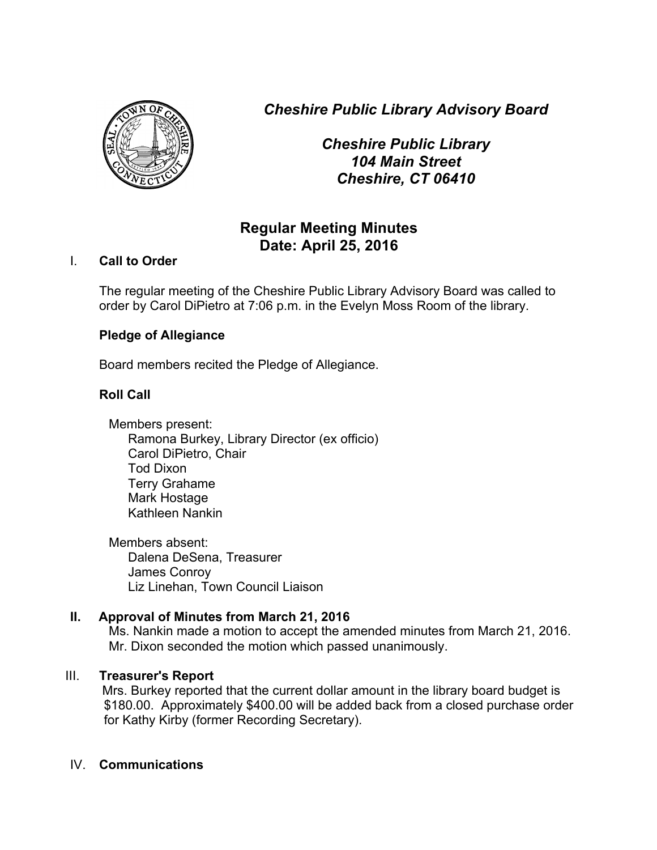*Cheshire Public Library Advisory Board*



*Cheshire Public Library 104 Main Street Cheshire, CT 06410*

# **Regular Meeting Minutes Date: April 25, 2016**

# I. **Call to Order**

The regular meeting of the Cheshire Public Library Advisory Board was called to order by Carol DiPietro at 7:06 p.m. in the Evelyn Moss Room of the library.

# **Pledge of Allegiance**

Board members recited the Pledge of Allegiance.

#### **Roll Call**

Members present: Ramona Burkey, Library Director (ex officio) Carol DiPietro, Chair Tod Dixon Terry Grahame Mark Hostage Kathleen Nankin

Members absent: Dalena DeSena, Treasurer James Conroy Liz Linehan, Town Council Liaison

# **II. Approval of Minutes from March 21, 2016**

Ms. Nankin made a motion to accept the amended minutes from March 21, 2016. Mr. Dixon seconded the motion which passed unanimously.

#### III. **Treasurer's Report**

 Mrs. Burkey reported that the current dollar amount in the library board budget is \$180.00. Approximately \$400.00 will be added back from a closed purchase order for Kathy Kirby (former Recording Secretary).

#### IV. **Communications**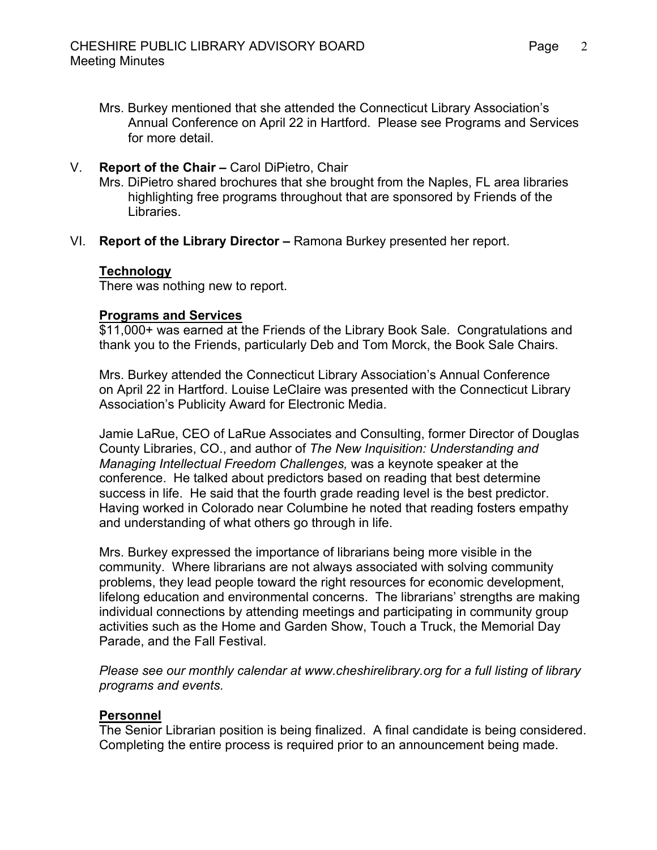- Mrs. Burkey mentioned that she attended the Connecticut Library Association's Annual Conference on April 22 in Hartford. Please see Programs and Services for more detail.
- V. **Report of the Chair –** Carol DiPietro, Chair Mrs. DiPietro shared brochures that she brought from the Naples, FL area libraries highlighting free programs throughout that are sponsored by Friends of the Libraries.
- VI. **Report of the Library Director –** Ramona Burkey presented her report.

#### **Technology**

There was nothing new to report.

#### **Programs and Services**

\$11,000+ was earned at the Friends of the Library Book Sale. Congratulations and thank you to the Friends, particularly Deb and Tom Morck, the Book Sale Chairs.

Mrs. Burkey attended the Connecticut Library Association's Annual Conference on April 22 in Hartford. Louise LeClaire was presented with the Connecticut Library Association's Publicity Award for Electronic Media.

Jamie LaRue, CEO of LaRue Associates and Consulting, former Director of Douglas County Libraries, CO., and author of *The New Inquisition: Understanding and Managing Intellectual Freedom Challenges,* was a keynote speaker at the conference. He talked about predictors based on reading that best determine success in life. He said that the fourth grade reading level is the best predictor. Having worked in Colorado near Columbine he noted that reading fosters empathy and understanding of what others go through in life.

Mrs. Burkey expressed the importance of librarians being more visible in the community. Where librarians are not always associated with solving community problems, they lead people toward the right resources for economic development, lifelong education and environmental concerns. The librarians' strengths are making individual connections by attending meetings and participating in community group activities such as the Home and Garden Show, Touch a Truck, the Memorial Day Parade, and the Fall Festival.

*Please see our monthly calendar at www.cheshirelibrary.org for a full listing of library programs and events.*

#### **Personnel**

The Senior Librarian position is being finalized. A final candidate is being considered. Completing the entire process is required prior to an announcement being made.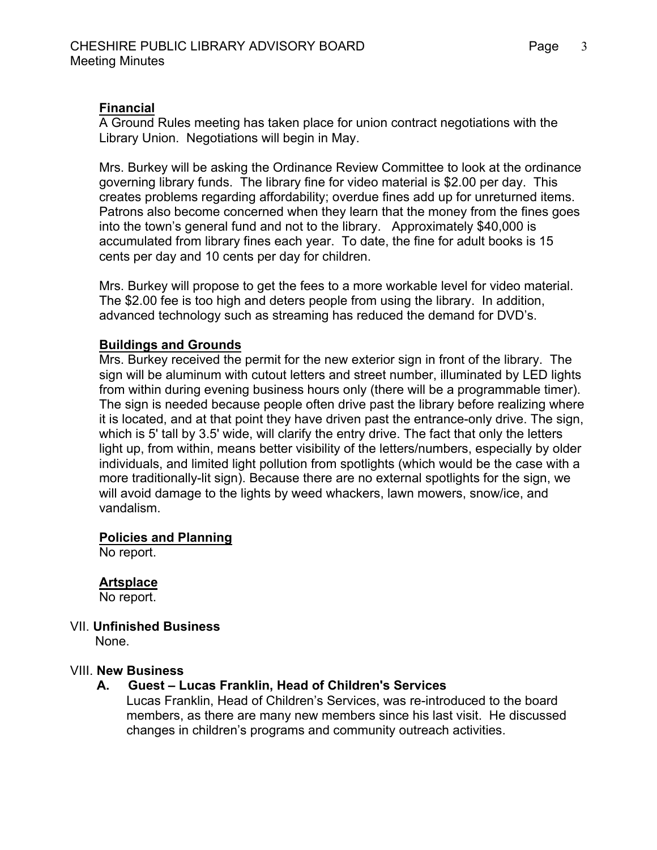#### **Financial**

A Ground Rules meeting has taken place for union contract negotiations with the Library Union. Negotiations will begin in May.

Mrs. Burkey will be asking the Ordinance Review Committee to look at the ordinance governing library funds. The library fine for video material is \$2.00 per day. This creates problems regarding affordability; overdue fines add up for unreturned items. Patrons also become concerned when they learn that the money from the fines goes into the town's general fund and not to the library. Approximately \$40,000 is accumulated from library fines each year. To date, the fine for adult books is 15 cents per day and 10 cents per day for children.

Mrs. Burkey will propose to get the fees to a more workable level for video material. The \$2.00 fee is too high and deters people from using the library. In addition, advanced technology such as streaming has reduced the demand for DVD's.

#### **Buildings and Grounds**

Mrs. Burkey received the permit for the new exterior sign in front of the library. The sign will be aluminum with cutout letters and street number, illuminated by LED lights from within during evening business hours only (there will be a programmable timer). The sign is needed because people often drive past the library before realizing where it is located, and at that point they have driven past the entrance-only drive. The sign, which is 5' tall by 3.5' wide, will clarify the entry drive. The fact that only the letters light up, from within, means better visibility of the letters/numbers, especially by older individuals, and limited light pollution from spotlights (which would be the case with a more traditionally-lit sign). Because there are no external spotlights for the sign, we will avoid damage to the lights by weed whackers, lawn mowers, snow/ice, and vandalism.

#### **Policies and Planning**

No report.

# **Artsplace**

No report.

#### VII. **Unfinished Business**

None.

#### VIII. **New Business**

# **A. Guest – Lucas Franklin, Head of Children's Services**

Lucas Franklin, Head of Children's Services, was re-introduced to the board members, as there are many new members since his last visit. He discussed changes in children's programs and community outreach activities.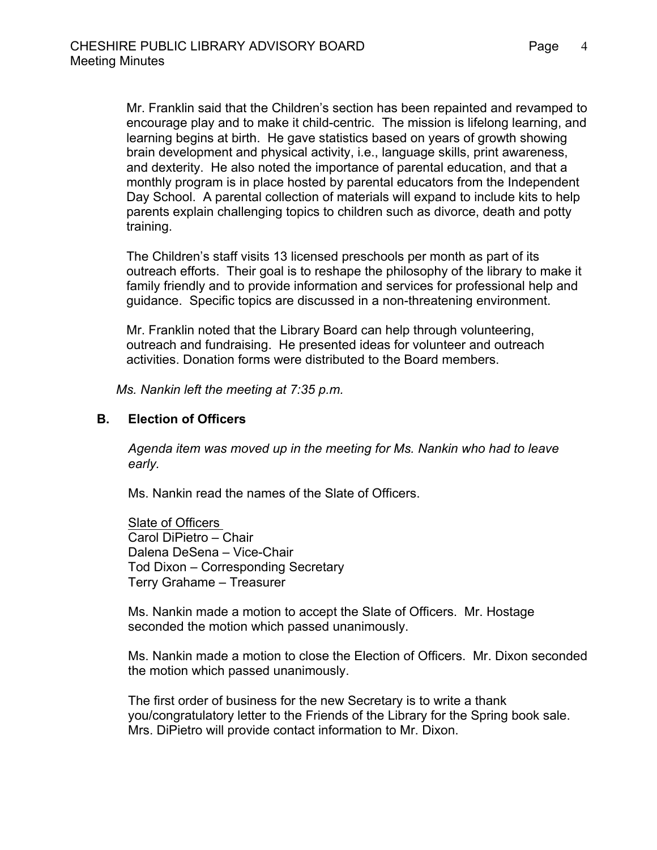Mr. Franklin said that the Children's section has been repainted and revamped to encourage play and to make it child-centric. The mission is lifelong learning, and learning begins at birth. He gave statistics based on years of growth showing brain development and physical activity, i.e., language skills, print awareness, and dexterity. He also noted the importance of parental education, and that a monthly program is in place hosted by parental educators from the Independent Day School. A parental collection of materials will expand to include kits to help parents explain challenging topics to children such as divorce, death and potty training.

The Children's staff visits 13 licensed preschools per month as part of its outreach efforts. Their goal is to reshape the philosophy of the library to make it family friendly and to provide information and services for professional help and guidance. Specific topics are discussed in a non-threatening environment.

Mr. Franklin noted that the Library Board can help through volunteering, outreach and fundraising. He presented ideas for volunteer and outreach activities. Donation forms were distributed to the Board members.

*Ms. Nankin left the meeting at 7:35 p.m.*

#### **B. Election of Officers**

*Agenda item was moved up in the meeting for Ms. Nankin who had to leave early.*

Ms. Nankin read the names of the Slate of Officers.

Slate of Officers Carol DiPietro – Chair Dalena DeSena – Vice-Chair Tod Dixon – Corresponding Secretary Terry Grahame – Treasurer

Ms. Nankin made a motion to accept the Slate of Officers. Mr. Hostage seconded the motion which passed unanimously.

Ms. Nankin made a motion to close the Election of Officers. Mr. Dixon seconded the motion which passed unanimously.

The first order of business for the new Secretary is to write a thank you/congratulatory letter to the Friends of the Library for the Spring book sale. Mrs. DiPietro will provide contact information to Mr. Dixon.